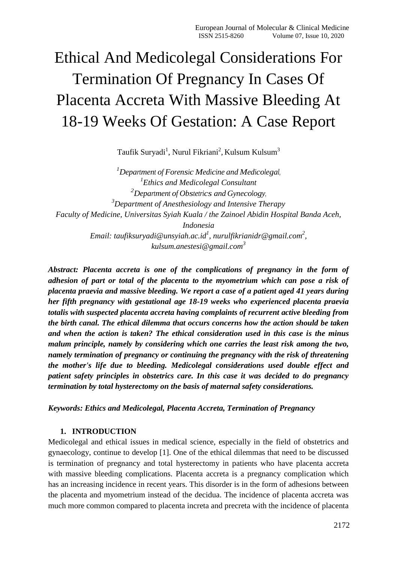# Ethical And Medicolegal Considerations For Termination Of Pregnancy In Cases Of Placenta Accreta With Massive Bleeding At 18-19 Weeks Of Gestation: A Case Report

Taufik Suryadi<sup>1</sup>, Nurul Fikriani<sup>2</sup>, Kulsum Kulsum<sup>3</sup>

*<sup>1</sup>Department of Forensic Medicine and Medicolegal, 1 Ethics and Medicolegal Consultant <sup>2</sup>Department of Obstetrics and Gynecology, <sup>3</sup>Department of Anesthesiology and Intensive Therapy Faculty of Medicine, Universitas Syiah Kuala / the Zainoel Abidin Hospital Banda Aceh, Indonesia Email: taufiksuryadi@unsyiah.ac.id<sup>1</sup> , [nurulfikrianidr@gmail.com](mailto:nurulfikrianidr@gmail.com)<sup>2</sup> , [kulsum.anestesi@gmail.com](mailto:kulsum.anestesi@gmail.com)<sup>3</sup>*

*Abstract: Placenta accreta is one of the complications of pregnancy in the form of adhesion of part or total of the placenta to the myometrium which can pose a risk of placenta praevia and massive bleeding. We report a case of a patient aged 41 years during her fifth pregnancy with gestational age 18-19 weeks who experienced placenta praevia totalis with suspected placenta accreta having complaints of recurrent active bleeding from the birth canal. The ethical dilemma that occurs concerns how the action should be taken and when the action is taken? The ethical consideration used in this case is the minus malum principle, namely by considering which one carries the least risk among the two, namely termination of pregnancy or continuing the pregnancy with the risk of threatening the mother's life due to bleeding. Medicolegal considerations used double effect and patient safety principles in obstetrics care. In this case it was decided to do pregnancy termination by total hysterectomy on the basis of maternal safety considerations.*

*Keywords: Ethics and Medicolegal, Placenta Accreta, Termination of Pregnancy*

## **1. INTRODUCTION**

Medicolegal and ethical issues in medical science, especially in the field of obstetrics and gynaecology, continue to develop [1]. One of the ethical dilemmas that need to be discussed is termination of pregnancy and total hysterectomy in patients who have placenta accreta with massive bleeding complications. Placenta accreta is a pregnancy complication which has an increasing incidence in recent years. This disorder is in the form of adhesions between the placenta and myometrium instead of the decidua. The incidence of placenta accreta was much more common compared to placenta increta and precreta with the incidence of placenta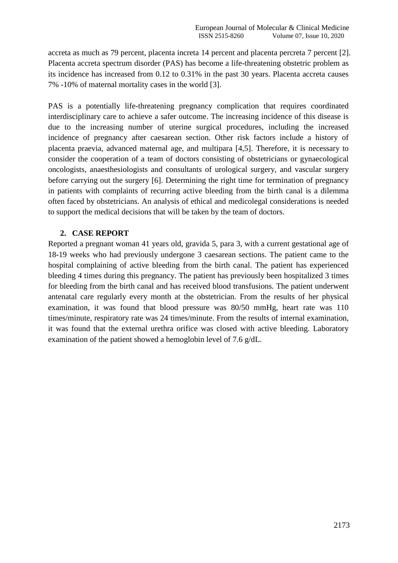accreta as much as 79 percent, placenta increta 14 percent and placenta percreta 7 percent [2]. Placenta accreta spectrum disorder (PAS) has become a life-threatening obstetric problem as its incidence has increased from 0.12 to 0.31% in the past 30 years. Placenta accreta causes 7% -10% of maternal mortality cases in the world [3].

PAS is a potentially life-threatening pregnancy complication that requires coordinated interdisciplinary care to achieve a safer outcome. The increasing incidence of this disease is due to the increasing number of uterine surgical procedures, including the increased incidence of pregnancy after caesarean section. Other risk factors include a history of placenta praevia, advanced maternal age, and multipara [4,5]. Therefore, it is necessary to consider the cooperation of a team of doctors consisting of obstetricians or gynaecological oncologists, anaesthesiologists and consultants of urological surgery, and vascular surgery before carrying out the surgery [6]. Determining the right time for termination of pregnancy in patients with complaints of recurring active bleeding from the birth canal is a dilemma often faced by obstetricians. An analysis of ethical and medicolegal considerations is needed to support the medical decisions that will be taken by the team of doctors.

## **2. CASE REPORT**

Reported a pregnant woman 41 years old, gravida 5, para 3, with a current gestational age of 18-19 weeks who had previously undergone 3 caesarean sections. The patient came to the hospital complaining of active bleeding from the birth canal. The patient has experienced bleeding 4 times during this pregnancy. The patient has previously been hospitalized 3 times for bleeding from the birth canal and has received blood transfusions. The patient underwent antenatal care regularly every month at the obstetrician. From the results of her physical examination, it was found that blood pressure was 80/50 mmHg, heart rate was 110 times/minute, respiratory rate was 24 times/minute. From the results of internal examination, it was found that the external urethra orifice was closed with active bleeding. Laboratory examination of the patient showed a hemoglobin level of 7.6 g/dL.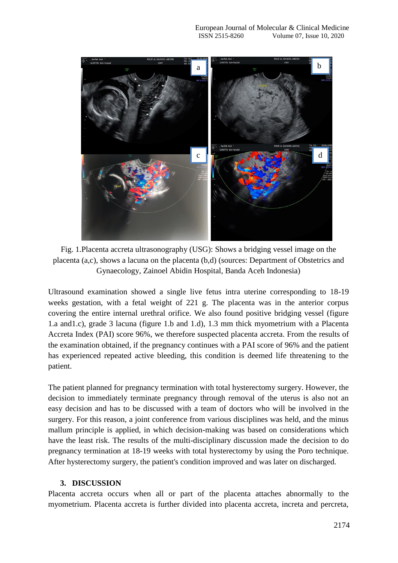

Fig. 1.Placenta accreta ultrasonography (USG): Shows a bridging vessel image on the placenta (a,c), shows a lacuna on the placenta (b,d) (sources: Department of Obstetrics and Gynaecology, Zainoel Abidin Hospital, Banda Aceh Indonesia)

Ultrasound examination showed a single live fetus intra uterine corresponding to 18-19 weeks gestation, with a fetal weight of 221 g. The placenta was in the anterior corpus covering the entire internal urethral orifice. We also found positive bridging vessel (figure 1.a and1.c), grade 3 lacuna (figure 1.b and 1.d), 1.3 mm thick myometrium with a Placenta Accreta Index (PAI) score 96%, we therefore suspected placenta accreta. From the results of the examination obtained, if the pregnancy continues with a PAI score of 96% and the patient has experienced repeated active bleeding, this condition is deemed life threatening to the patient.

The patient planned for pregnancy termination with total hysterectomy surgery. However, the decision to immediately terminate pregnancy through removal of the uterus is also not an easy decision and has to be discussed with a team of doctors who will be involved in the surgery. For this reason, a joint conference from various disciplines was held, and the minus mallum principle is applied, in which decision-making was based on considerations which have the least risk. The results of the multi-disciplinary discussion made the decision to do pregnancy termination at 18-19 weeks with total hysterectomy by using the Poro technique. After hysterectomy surgery, the patient's condition improved and was later on discharged.

## **3. DISCUSSION**

Placenta accreta occurs when all or part of the placenta attaches abnormally to the myometrium. Placenta accreta is further divided into placenta accreta, increta and percreta,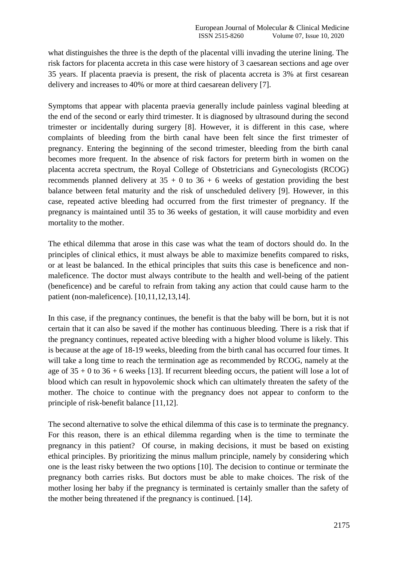what distinguishes the three is the depth of the placental villi invading the uterine lining. The risk factors for placenta accreta in this case were history of 3 caesarean sections and age over 35 years. If placenta praevia is present, the risk of placenta accreta is 3% at first cesarean delivery and increases to 40% or more at third caesarean delivery [7].

Symptoms that appear with placenta praevia generally include painless vaginal bleeding at the end of the second or early third trimester. It is diagnosed by ultrasound during the second trimester or incidentally during surgery [8]. However, it is different in this case, where complaints of bleeding from the birth canal have been felt since the first trimester of pregnancy. Entering the beginning of the second trimester, bleeding from the birth canal becomes more frequent. In the absence of risk factors for preterm birth in women on the placenta accreta spectrum, the Royal College of Obstetricians and Gynecologists (RCOG) recommends planned delivery at  $35 + 0$  to  $36 + 6$  weeks of gestation providing the best balance between fetal maturity and the risk of unscheduled delivery [9]. However, in this case, repeated active bleeding had occurred from the first trimester of pregnancy. If the pregnancy is maintained until 35 to 36 weeks of gestation, it will cause morbidity and even mortality to the mother.

The ethical dilemma that arose in this case was what the team of doctors should do. In the principles of clinical ethics, it must always be able to maximize benefits compared to risks, or at least be balanced. In the ethical principles that suits this case is beneficence and nonmaleficence. The doctor must always contribute to the health and well-being of the patient (beneficence) and be careful to refrain from taking any action that could cause harm to the patient (non-maleficence). [10,11,12,13,14].

In this case, if the pregnancy continues, the benefit is that the baby will be born, but it is not certain that it can also be saved if the mother has continuous bleeding. There is a risk that if the pregnancy continues, repeated active bleeding with a higher blood volume is likely. This is because at the age of 18-19 weeks, bleeding from the birth canal has occurred four times. It will take a long time to reach the termination age as recommended by RCOG, namely at the age of  $35 + 0$  to  $36 + 6$  weeks [13]. If recurrent bleeding occurs, the patient will lose a lot of blood which can result in hypovolemic shock which can ultimately threaten the safety of the mother. The choice to continue with the pregnancy does not appear to conform to the principle of risk-benefit balance [11,12].

The second alternative to solve the ethical dilemma of this case is to terminate the pregnancy. For this reason, there is an ethical dilemma regarding when is the time to terminate the pregnancy in this patient? Of course, in making decisions, it must be based on existing ethical principles. By prioritizing the minus mallum principle, namely by considering which one is the least risky between the two options [10]. The decision to continue or terminate the pregnancy both carries risks. But doctors must be able to make choices. The risk of the mother losing her baby if the pregnancy is terminated is certainly smaller than the safety of the mother being threatened if the pregnancy is continued. [14].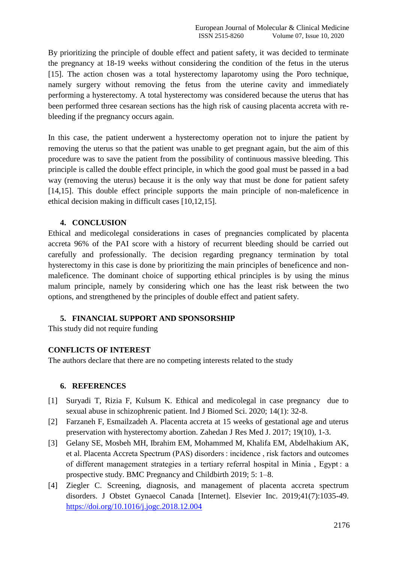By prioritizing the principle of double effect and patient safety, it was decided to terminate the pregnancy at 18-19 weeks without considering the condition of the fetus in the uterus [15]. The action chosen was a total hysterectomy laparotomy using the Poro technique, namely surgery without removing the fetus from the uterine cavity and immediately performing a hysterectomy. A total hysterectomy was considered because the uterus that has been performed three cesarean sections has the high risk of causing placenta accreta with rebleeding if the pregnancy occurs again.

In this case, the patient underwent a hysterectomy operation not to injure the patient by removing the uterus so that the patient was unable to get pregnant again, but the aim of this procedure was to save the patient from the possibility of continuous massive bleeding. This principle is called the double effect principle, in which the good goal must be passed in a bad way (removing the uterus) because it is the only way that must be done for patient safety [14,15]. This double effect principle supports the main principle of non-maleficence in ethical decision making in difficult cases [10,12,15].

## **4. CONCLUSION**

Ethical and medicolegal considerations in cases of pregnancies complicated by placenta accreta 96% of the PAI score with a history of recurrent bleeding should be carried out carefully and professionally. The decision regarding pregnancy termination by total hysterectomy in this case is done by prioritizing the main principles of beneficence and nonmaleficence. The dominant choice of supporting ethical principles is by using the minus malum principle, namely by considering which one has the least risk between the two options, and strengthened by the principles of double effect and patient safety.

### **5. FINANCIAL SUPPORT AND SPONSORSHIP**

This study did not require funding

### **CONFLICTS OF INTEREST**

The authors declare that there are no competing interests related to the study

### **6. REFERENCES**

- [1] Suryadi T, Rizia F, Kulsum K. Ethical and medicolegal in case pregnancy due to sexual abuse in schizophrenic patient. Ind J Biomed Sci. 2020; 14(1): 32-8.
- [2] Farzaneh F, Esmailzadeh A. Placenta accreta at 15 weeks of gestational age and uterus preservation with hysterectomy abortion. Zahedan J Res Med J. 2017; 19(10), 1-3.
- [3] Gelany SE, Mosbeh MH, Ibrahim EM, Mohammed M, Khalifa EM, Abdelhakium AK, et al. Placenta Accreta Spectrum (PAS) disorders : incidence , risk factors and outcomes of different management strategies in a tertiary referral hospital in Minia , Egypt : a prospective study. BMC Pregnancy and Childbirth 2019; 5: 1–8.
- [4] Ziegler C. Screening, diagnosis, and management of placenta accreta spectrum disorders. J Obstet Gynaecol Canada [Internet]. Elsevier Inc. 2019;41(7):1035-49. <https://doi.org/10.1016/j.jogc.2018.12.004>